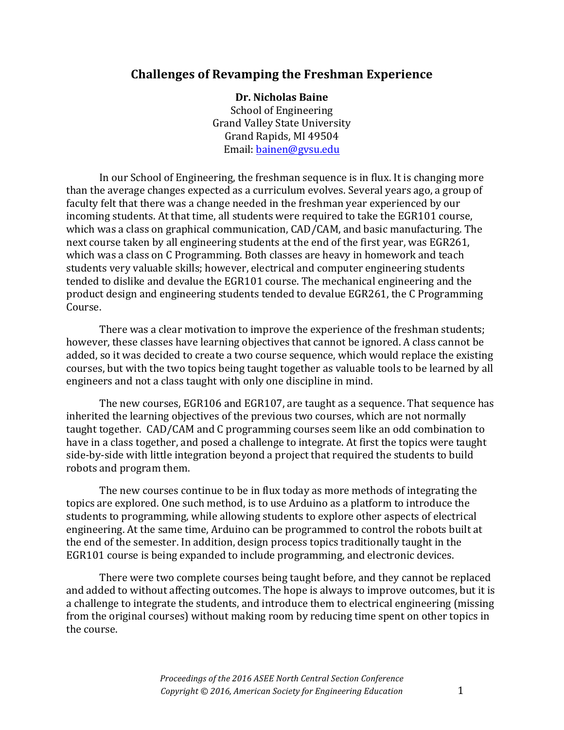## **Challenges of Revamping the Freshman Experience**

**Dr. Nicholas Baine** School of Engineering Grand Valley State University Grand Rapids, MI 49504 Email: bainen@gvsu.edu

In our School of Engineering, the freshman sequence is in flux. It is changing more than the average changes expected as a curriculum evolves. Several years ago, a group of faculty felt that there was a change needed in the freshman year experienced by our incoming students. At that time, all students were required to take the EGR101 course, which was a class on graphical communication, CAD/CAM, and basic manufacturing. The next course taken by all engineering students at the end of the first year, was EGR261, which was a class on C Programming. Both classes are heavy in homework and teach students very valuable skills; however, electrical and computer engineering students tended to dislike and devalue the EGR101 course. The mechanical engineering and the product design and engineering students tended to devalue EGR261, the C Programming Course.

There was a clear motivation to improve the experience of the freshman students; however, these classes have learning objectives that cannot be ignored. A class cannot be added, so it was decided to create a two course sequence, which would replace the existing courses, but with the two topics being taught together as valuable tools to be learned by all engineers and not a class taught with only one discipline in mind.

The new courses, EGR106 and EGR107, are taught as a sequence. That sequence has inherited the learning objectives of the previous two courses, which are not normally taught together. CAD/CAM and C programming courses seem like an odd combination to have in a class together, and posed a challenge to integrate. At first the topics were taught side-by-side with little integration beyond a project that required the students to build robots and program them.

The new courses continue to be in flux today as more methods of integrating the topics are explored. One such method, is to use Arduino as a platform to introduce the students to programming, while allowing students to explore other aspects of electrical engineering. At the same time, Arduino can be programmed to control the robots built at the end of the semester. In addition, design process topics traditionally taught in the EGR101 course is being expanded to include programming, and electronic devices.

There were two complete courses being taught before, and they cannot be replaced and added to without affecting outcomes. The hope is always to improve outcomes, but it is a challenge to integrate the students, and introduce them to electrical engineering (missing from the original courses) without making room by reducing time spent on other topics in the course.